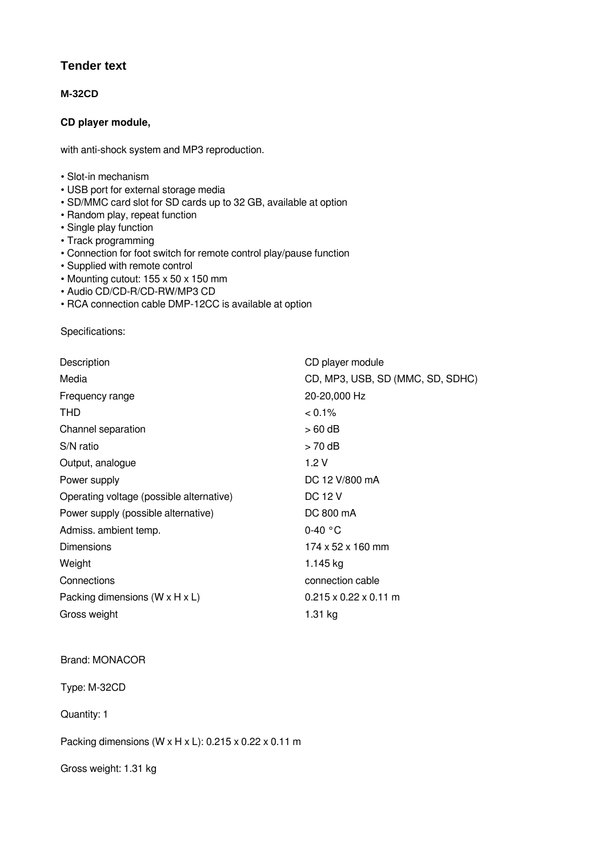## **Tender text**

## **M-32CD**

## **CD player module,**

with anti-shock system and MP3 reproduction.

- Slot-in mechanism
- USB port for external storage media
- SD/MMC card slot for SD cards up to 32 GB, available at option
- Random play, repeat function
- Single play function
- Track programming
- Connection for foot switch for remote control play/pause function
- Supplied with remote control
- Mounting cutout: 155 x 50 x 150 mm
- Audio CD/CD-R/CD-RW/MP3 CD
- RCA connection cable DMP‑12CC is available at option

Specifications:

| Description                                  | CD player module                  |
|----------------------------------------------|-----------------------------------|
| Media                                        | CD, MP3, USB, SD (MMC, SD, SDHC)  |
| Frequency range                              | 20-20,000 Hz                      |
| <b>THD</b>                                   | $0.1\%$                           |
| Channel separation                           | > 60 dB                           |
| S/N ratio                                    | $>70$ dB                          |
| Output, analogue                             | 1.2V                              |
| Power supply                                 | DC 12 V/800 mA                    |
| Operating voltage (possible alternative)     | <b>DC 12 V</b>                    |
| Power supply (possible alternative)          | DC 800 mA                         |
| Admiss. ambient temp.                        | $0-40$ °C                         |
| <b>Dimensions</b>                            | 174 x 52 x 160 mm                 |
| Weight                                       | 1.145 kg                          |
| Connections                                  | connection cable                  |
| Packing dimensions ( $W \times H \times L$ ) | $0.215 \times 0.22 \times 0.11$ m |
| Gross weight                                 | 1.31 kg                           |

## Brand: MONACOR

Type: M-32CD

Quantity: 1

Packing dimensions (W x H x L): 0.215 x 0.22 x 0.11 m

Gross weight: 1.31 kg